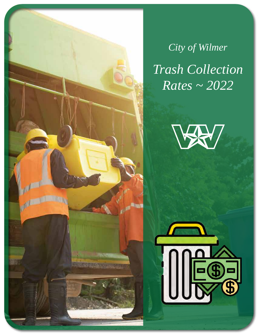*Trash Collection Rates ~ 2022 City of Wilmer*



**COLLEGE** 

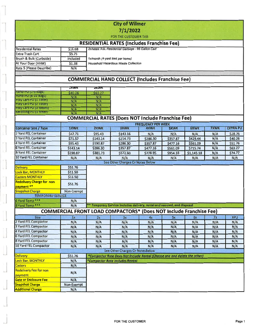#### **City of Wilmer**  $7/1/2022$ FOR THE CUSTOMER TAB **RESIDENTIAL RATES (Includes Franchise Fee)** 2x/week ASL Residential Garbage - 96 Gallon Cart \$16.68  $$5.75$

| Rate 5 (Please Describe) | N/A      |                                         |
|--------------------------|----------|-----------------------------------------|
| At Your Door (HHW)       | \$1.38   | Household Hazardous Waste Collection    |
| Brush & Bulk (Curbside)  | Included | $\mid$ 1x/month (4-yard limit per home) |

### **COMMERCIAL HAND COLLECT (Includes Franchise Fee)**

|                              | <b>IXWK</b> | ZXWK    |
|------------------------------|-------------|---------|
| Hand-PU (1-5 Bags)           | \$40.26     | \$63.27 |
| Hand-PU (6-10 Barts)         | N/A         | N/A     |
| Poly Cart-PU (1 Toter)       | N/A         | N/A     |
| Poly Cart-PU (2 Toter)       | N/A         | N/A     |
| Poly Cart-PU (3 toters)      | N/A         | N/A     |
| <b>Recycling Purphicidi)</b> | N/A         | N/A     |

**Residential Rates** 

**Extra Trash Cart** 

÷

# **COMMERCIAL RATES (Does NOT Include Franchise Fee)**

|                                                |             |             |                                                                           | <b>FREQUENCY PER WEEK</b> |             |             |      |                 |
|------------------------------------------------|-------------|-------------|---------------------------------------------------------------------------|---------------------------|-------------|-------------|------|-----------------|
| <b>Container Size / Type</b>                   | <b>1XWK</b> | <b>2XWK</b> | <b>3XWK</b>                                                               | <b>4XWK</b>               | <b>5XWK</b> | <b>6XWK</b> | 7XWK | <b>EXTRA PU</b> |
| 2 Yard FEL Container                           | \$47.71     | \$95.43     | \$143.16                                                                  | N/A                       | N/A         | N/A         | N/A  | \$28.76         |
| <b>3 Yard FEL Container</b>                    | \$71.57     | \$143.14    | \$214.73                                                                  | \$286.30                  | \$357.87    | \$429.44    | N/A  | \$40.26         |
| 4 Yard FEL Container                           | \$95.43     | \$190.87    | \$286.30                                                                  | \$357.87                  | \$477.16    | \$561.09    | N/A  | \$51.76         |
| <b>6 Yard FEL Container</b>                    | \$143.14    | \$286.30    | \$357.87                                                                  | \$477.16                  | \$561.09    | \$715.74    | N/A  | \$63.27         |
| 8-Yard FEL Container                           | \$190.87    | \$381.73    | \$572.60                                                                  | \$728.95                  | \$954.33    | \$1,145.18  | N/A  | \$74.77         |
| 10 Yard FEL Container                          | N/A         | N/A         | N/A                                                                       | N/A                       | N/A         | N/A         | N/A  | N/A             |
|                                                |             |             | See Other Charges Or Notes Below                                          |                           |             |             |      |                 |
| <b>Delivery</b>                                | \$51.76     |             |                                                                           |                           |             |             |      |                 |
| <b>Lock Bar, MONTHLY</b>                       | \$11.50     |             |                                                                           |                           |             |             |      |                 |
| <b>Casters MONTHLY</b>                         | \$11.50     |             |                                                                           |                           |             |             |      |                 |
| <b>Redelivery Charge for non</b><br>payment ** | \$51.76     |             |                                                                           |                           |             |             |      |                 |
| <b>Snapshot Charge</b>                         | Non-Exempt  |             |                                                                           |                           |             |             |      |                 |
| <b>TEMPORARY SERVICE</b>                       |             |             |                                                                           |                           |             |             |      |                 |
| 6 Yard Temp ***                                | N/A         |             |                                                                           |                           |             |             |      |                 |
| 8 Yard Temp ***                                | N/A         |             | *** Temporary Service includes delivery, rental and removal, and disposal |                           |             |             |      |                 |
|                                                |             |             | <b>COMMERCIAL FRONT LOAD COMPACTORS* (Does NOT Include Franchise Fee)</b> |                           |             |             |      |                 |
| Size                                           | 1x          | 2x          | 3x                                                                        | 4x                        | 5x          | 6x          | 7x   | <b>XPU</b>      |
| 2 Yard FEL Compactor                           | N/A         | N/A         | N/A                                                                       | N/A                       | N/A         | N/A         | N/A  | N/A             |
| 3 Yard FEL Compactor                           | N/A         | N/A         | N/A                                                                       | N/A                       | N/A         | N/A         | N/A  | N/A             |
| 4 Yard FEL Compactor                           | N/A         | N/A         | N/A                                                                       | N/A                       | N/A         | N/A         | N/A  | N/A             |
| 6 Yard FEL Compactor                           | N/A         | N/A         | N/A                                                                       | N/A                       | N/A         | N/A         | N/A  | N/A             |
| 8 Yard FEL Compactor                           | N/A         | N/A         | N/A                                                                       | N/A                       | N/A         | N/A         | N/A  | N/A             |
| 10 Yard FEL Compactor                          | N/A         | N/A         | N/A                                                                       | N/A                       | N/A         | N/A         | N/A  | N/A             |
|                                                |             |             | See Other Charges Or Notes Below                                          |                           |             |             |      |                 |
| <b>Delivery</b>                                | \$51.76     |             | *Compactor Rate Does Not Include Rental (Choose one and delete the other) |                           |             |             |      |                 |
| Lock Bar, MONTHLY                              | N/A         |             | *Compactor Rate Includes Rental                                           |                           |             |             |      |                 |
| <b>Casters</b>                                 | N/A         |             |                                                                           |                           |             |             |      |                 |
| <b>Redelivery Fee for non</b><br>payment       | N/A         |             |                                                                           |                           |             |             |      |                 |
| <b>Gate or Enclosure Fee</b>                   | N/A         |             |                                                                           |                           |             |             |      |                 |
| <b>Snapshot Charge</b>                         | Non-Exempt  |             |                                                                           |                           |             |             |      |                 |
| <b>Additional Charge</b>                       | N/A         |             |                                                                           |                           |             |             |      |                 |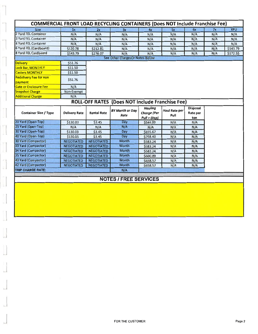| <b>Size</b>                                                                                                                                                                                                                   | 1x                                     | 2x                                     | 3x                                                     | 4x                                            | 5x                           | 6x                                 | 7x  | <b>XPU</b> |
|-------------------------------------------------------------------------------------------------------------------------------------------------------------------------------------------------------------------------------|----------------------------------------|----------------------------------------|--------------------------------------------------------|-----------------------------------------------|------------------------------|------------------------------------|-----|------------|
| 2 Yard FEL Container                                                                                                                                                                                                          | N/A                                    | N/A                                    | N/A                                                    | N/A                                           | N/A                          | N/A                                | N/A | N/A        |
| 3 Yard FEL Container                                                                                                                                                                                                          | N/A                                    | N/A                                    | N/A                                                    | N/A                                           | N/A                          | N/A                                | N/A | N/A        |
| 4 Yard FEL Container                                                                                                                                                                                                          | N/A                                    | N/A                                    | N/A                                                    | N/A                                           | N/A                          | N/A                                | N/A | N/A        |
| 6 Yard FEL (Cardboard)                                                                                                                                                                                                        | \$120.78                               | \$212.81                               | N/A                                                    | N/A                                           | N/A                          | N/A                                | N/A | \$143.79   |
| 8 Yard FEL Cardboard                                                                                                                                                                                                          | \$143.79                               | \$276.07                               | N/A                                                    | N/A                                           | N/A                          | N/A                                | N/A | \$172.55   |
|                                                                                                                                                                                                                               |                                        |                                        | See Other ChargesOr Notes Below                        |                                               |                              |                                    |     |            |
| <b>Delivery</b>                                                                                                                                                                                                               | \$51.76                                |                                        |                                                        |                                               |                              |                                    |     |            |
| Lock Bar, MONTHLY                                                                                                                                                                                                             | \$11.50                                |                                        |                                                        |                                               |                              |                                    |     |            |
| <b>Casters MONTHLY</b>                                                                                                                                                                                                        | \$11.50                                |                                        |                                                        |                                               |                              |                                    |     |            |
| <b>Redelivery Fee for non</b><br>payment                                                                                                                                                                                      | \$51.76                                |                                        |                                                        |                                               |                              |                                    |     |            |
| <b>Gate or Enclosure Fee</b>                                                                                                                                                                                                  | N/A                                    |                                        |                                                        |                                               |                              |                                    |     |            |
| <b>Snapshot Charge</b>                                                                                                                                                                                                        | Non-Exempt                             |                                        |                                                        |                                               |                              |                                    |     |            |
| <b>Additional Charge</b>                                                                                                                                                                                                      | N/A                                    |                                        |                                                        |                                               |                              |                                    |     |            |
|                                                                                                                                                                                                                               |                                        |                                        | <b>ROLL-OFF RATES (Does NOT Include Franchise Fee)</b> |                                               |                              |                                    |     |            |
| <b>Container Size / Type</b>                                                                                                                                                                                                  | <b>Delivery Rate</b>                   | <b>Rental Rate</b>                     | <b>BY Month or Day</b><br>Rate                         | Hauling<br><b>Charge (Per</b><br>Pull + Disp) | <b>Haul Rate per</b><br>Pull | <b>Disposal</b><br>Rate per<br>ton |     |            |
| 20 Yard (Open-Top)                                                                                                                                                                                                            | \$130.03                               | \$3.45                                 | Day                                                    | \$544.09                                      | N/A                          | N/A                                |     |            |
|                                                                                                                                                                                                                               | N/A                                    | N/A                                    | N/A                                                    | N/A                                           | N/A                          | N/A                                |     |            |
|                                                                                                                                                                                                                               |                                        |                                        |                                                        |                                               |                              |                                    |     |            |
|                                                                                                                                                                                                                               |                                        |                                        | Day                                                    |                                               |                              | N/A                                |     |            |
|                                                                                                                                                                                                                               | \$130.03                               | \$3.45                                 | Dav                                                    | \$655.67                                      | N/A                          |                                    |     |            |
|                                                                                                                                                                                                                               | \$130.03<br><b>NEGOTIATED</b>          | \$3.45<br><b>NEGOTIATED</b>            | Month                                                  | \$768.40<br>\$583.24                          | N/A<br>N/A                   | N/A<br>N/A                         |     |            |
|                                                                                                                                                                                                                               |                                        |                                        | Month                                                  |                                               |                              | N/A                                |     |            |
|                                                                                                                                                                                                                               | <b>NEGOTIATED</b><br><b>NEGOTIATED</b> | <b>NEGOTIATED</b><br><b>NEGOTIATED</b> | <b>Month</b>                                           | \$583.24<br>\$583.24                          | N/A                          | N/A                                |     |            |
|                                                                                                                                                                                                                               | <b>NEGOTIATED</b>                      | <b>NEGOTIATED</b>                      | <b>Month</b>                                           | \$600.89                                      | N/A<br>N/A                   | N/A                                |     |            |
|                                                                                                                                                                                                                               |                                        | <b>NEGOTIATED</b>                      | Month                                                  | \$658.57                                      |                              |                                    |     |            |
|                                                                                                                                                                                                                               | <b>NEGOTIATED</b><br><b>NEGOTIATED</b> | <b>NEGOTIATED</b>                      | Month                                                  | \$658.57                                      | N/A                          | N/A<br>N/A                         |     |            |
| 25 Yard (Open-Top)<br>30 Yard (Open-Top)<br>40 Yard (Open-Top)<br>30 Yard (Compactor)<br>33 Yard (Compactor)<br>34 Yard (Compactor)<br>35 Yard (Compactor)<br>40 Yard (Compactor)<br>42 Yard (Compactor)<br>TRIP CHARGE RATE: |                                        |                                        | N/A                                                    |                                               | N/A                          |                                    |     |            |
|                                                                                                                                                                                                                               |                                        |                                        | <b>NOTES / FREE SERVICES</b>                           |                                               |                              |                                    |     |            |

 $\overline{\mathbb{C}}$ 

 $\tilde{\mathcal{D}}$ 

 $\overline{a}$ g)

 $\bar{\nu}^{\pm}$ 

 $\bar{\tau}$ 

ř

 $\overline{\phantom{a}}$ 

 $\mathbb{R}^n$ Ы

m

ţ.

L

IJ

u

V.

u.